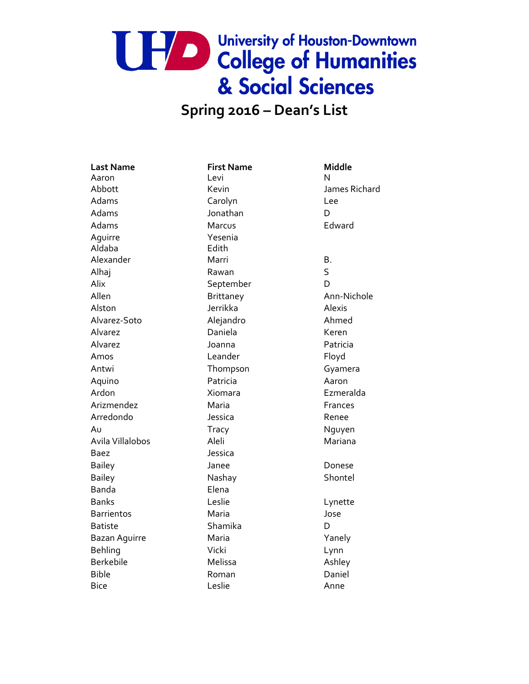## UPA De University of Houston-Downtown & Social Sciences

#### **Spring 2016 – Dean's List**

**Last Name First Name Middle** Aaron Levi N Adams Carolyn Carolyn Lee Adams **D** Jonathan **D** Adams Marcus Marcus Edward Aguirre Yesenia Aldaba Edith Alexander Marri Marri B. Alhaj Rawan S Alix September D Allen Brittaney Ann-Nichole Alston Jerrikka Alexis Alvarez-Soto Alejandro Ahmed Alvarez Daniela Keren Alvarez Joanna Patricia Amos **Leander Eloyd** Antwi **Thompson** Gyamera Aquino Patricia Aaron Ardon Xiomara Xiomara Ezmeralda Arizmendez Maria Maria Frances Arredondo Jessica Renee Au **Tracy** Tracy Nguyen Avila Villalobos Aleli Aleli Mariana Baez Jessica Bailey Janee Donese Bailey **Nashay** Nashay Shontel Banda Elena Banks Leslie Lynette Barrientos Maria Jose Batiste **Shamika** D Bazan Aguirre Maria Maria Maria Xanely Behling Vicki Lynn Berkebile Melissa Ashley Bible Roman Daniel Bice Leslie Anne

Abbott Kevin James Richard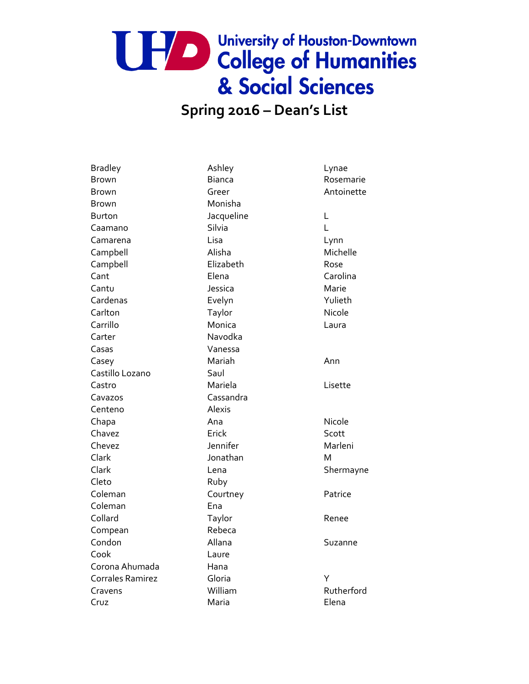#### **Spring 2016 – Dean's List**

Bradley **Ashley** Ashley **Lynae** Brown Bianca Rosemarie Brown Greer Antoinette Brown Monisha Burton **L** Jacqueline L Caamano Silvia L Camarena Lisa Lynn Campbell **Alisha** Alisha Michelle Campbell Elizabeth Rose Cant **Cant Carolina** Elena Carolina Cantu Jessica Marie Cardenas Evelyn Evelyn Yulieth Carlton Taylor Taylor Nicole Carrillo Monica Laura Carter Navodka Casas Vanessa Casey **Mariah** Mariah Ann Castillo Lozano Saul Castro Mariela Lisette Cavazos Cassandra Centeno Alexis Chapa **Ana** Ana **Ana** Nicole Chavez **Erick** Erick Scott Chevez Jennifer Marleni Clark Jonathan M Clark Lena Lena Shermayne Cleto Ruby Coleman Courtney Patrice Coleman Ena Collard Taylor Renee Compean Rebeca Condon Allana Suzanne Cook Laure Corona Ahumada Hana Corrales Ramirez Gloria Y Cravens William William Rutherford Cruz **Maria** Maria **Elena**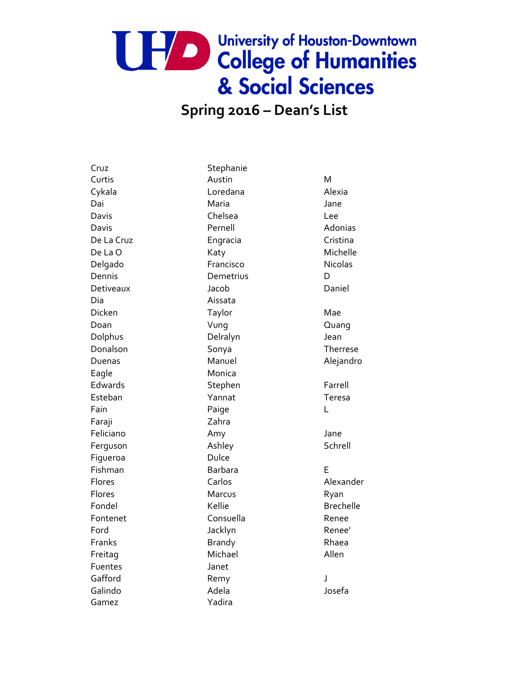## UPA De University of Houston-Downtown & Social Sciences

#### **Spring 2016 – Dean's List**

Cruz Stephanie Curtis Austin M Cykala **Loredana** Alexia Dai **Maria** Maria di Jane Davis Chelsea Lee Davis **Davis** Pernell **Adonias** De La Cruz **Engracia** Engracia Cristina De La O Katy Katy Michelle Delgado **Francisco** Francisco Nicolas Dennis Demetrius Demetrius D Detiveaux Jacob Daniel Dia Aissata Dicken Taylor Taylor Mae Doan Vung Quang Dolphus Delralyn Jean Donalson Sonya Therrese Duenas Manuel Manuel Alejandro Eagle Monica Edwards Stephen Farrell Esteban Yannat Teresa Fain **Paige** L Faraji Zahra Feliciano Mamy Amy Jane Ferguson Ashley Ashley Schrell Figueroa Dulce Fishman Barbara E Flores Carlos Carlos Alexander Flores **Marcus** Marcus Ryan Fondel Kellie Brechelle Fontenet Consuella **Consuella** Renee Ford Backlyn Macklyn Renee' Franks **Brandy** Brandy **Rhaea** Freitag Michael Michael Allen Fuentes Janet Gafford Remy Remy Galindo Adela Josefa Gamez Yadira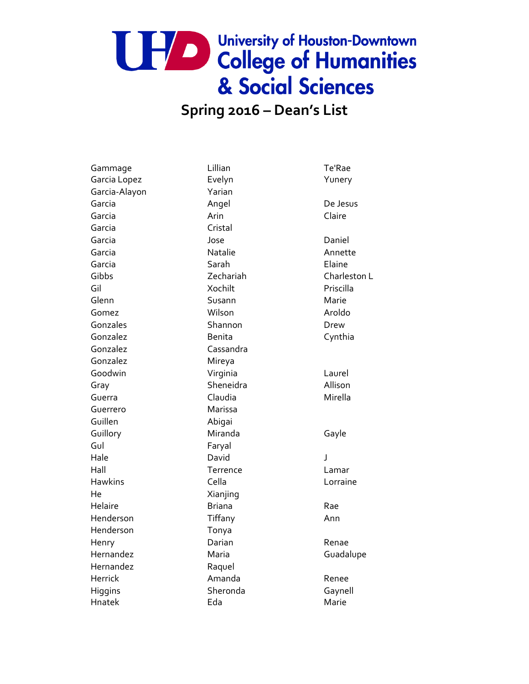#### **Spring 2016 – Dean's List**

Gammage Lillian Te'Rae Garcia Lopez **Evelyn** Evelyn **Yunery** Garcia-Alayon Yarian Garcia **Angel** Angel De Jesus Garcia **Arin** Arin Claire Garcia Cristal Garcia Jose Daniel Garcia **Natalie** Natalie **Annette** Garcia Sarah Elaine Gil Xochilt Priscilla Glenn Susann Susann Marie Gomez **Milson** Wilson **Aroldo** Gonzales Shannon Drew Gonzalez **Benita** Benita Cynthia Gonzalez Cassandra Gonzalez Mireya Goodwin Virginia Virginia Laurel Gray Sheneidra Allison Guerra Claudia Mirella Guerrero Marissa Guillen Abigai Guillory **Miranda** Gayle Gul Faryal Hale David J Hall Terrence Lamar Hawkins Cella Lorraine He Xianjing Helaire **Briana** Briana Rae Henderson Tiffany Times Ann Henderson Tonya Henry Darian Renae Hernandez Maria Maria Guadalupe Hernandez Raquel Herrick **Amanda** Renee Higgins Sheronda Gaynell Hnatek **Eda** Eda Marie

Gibbs Zechariah Charleston L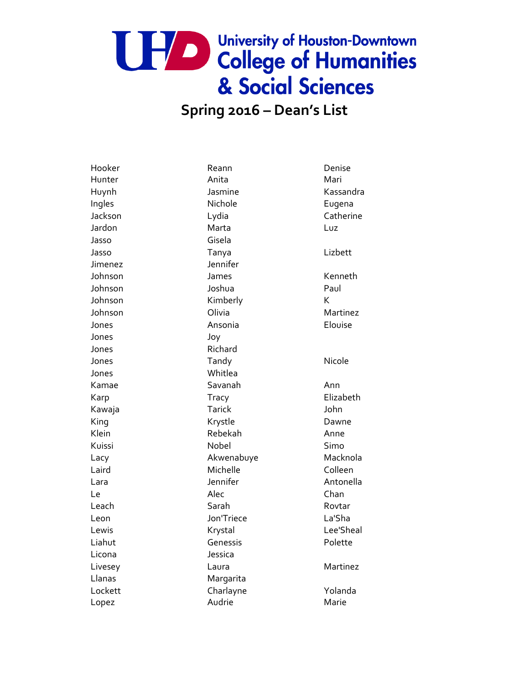#### **Spring 2016 – Dean's List**

Ingles **Nichole Eugena** Jasso Gisela Jimenez Jennifer Johnson James Kenneth Johnson Joshua Paul Johnson Kimberly Kimberly K Jones **Ansonia** Ansonia **Elouise** Jones Joy Jones Richard Jones Whitlea Kamae Savanah Ann King **Krystle Communist Communist Communist Communist Communist Communist Communist Communist Communist Communist Communist Communist Communist Communist Communist Communist Communist Communist Communist Communist Commun** Klein Rebekah Anne Laird Michelle Colleen Leon Jon'Triece La'Sha Liahut **Genessis** Genessis Polette Licona Jessica Llanas Margarita Lockett Charlayne Yolanda Lopez **Audrie** Marie Marie

Hooker **Reann** Reann Denise Hunter **Anita** Anita Mari Jardon Marta Luz Jasso Tanya Lizbett Jones **Tandy** Tandy **Nicole** Kawaja Tarick John Kuissi Simo Nobel Simo Le **Chan** Channel Alec Channel Channel Channel Channel Channel Channel Channel Channel Channel Channel Channel Ch Leach Sarah Sarah Rovtar

Huynh Jasmine Kassandra Jackson Lydia Catherine Johnson **Olivia Martinez** Karp Tracy Tracy Elizabeth Lacy Macknola Akwenabuye Macknola Lara **International Lara** Jennifer **Antonella** Lewis **Example 2018** Krystal Chronicle Lee'Sheal Livesey **Laura** Laura Martinez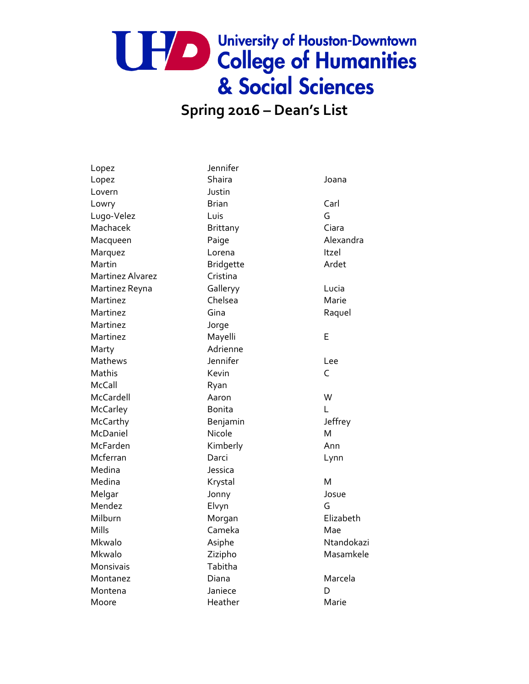#### **Spring 2016 – Dean's List**

Lopez Jennifer Lopez Shaira Joana Lovern Justin Lowry **Brian** Brian Carl Lugo-Velez Luis G Machacek Brittany Ciara Macqueen Paige Paige Alexandra Marquez **Lorena** Lorena Itzel Martin **Martin** Bridgette **Ardet** Martinez Alvarez **Cristina** Martinez Reyna Galleryy Callery Gallery Cucia Martinez Chelsea Marie Martinez Gina Gina Raquel Martinez Jorge Martinez Mayelli E Marty **Marty** Adrienne Mathews Jennifer Lee Mathis **C C C C C C C C C** McCall Ryan McCardell **Aaron** Aaron W McCarley **Bonita** Bonita McCarthy **Benjamin** Jeffrey McDaniel Micole Nicole McFarden Kimberly **Ann** Mcferran Darci Darci Lynn Medina Jessica Medina Medina Krystal M Melgar Jonny Josue Mendez Elvyn G Milburn Morgan Elizabeth Mills **Cameka** Camera Mae Mkwalo Asiphe Asiphe Ntandokazi Mkwalo Zizipho Masamkele Monsivais Tabitha Montanez Diana Diana Marcela Montena Janiece D Moore Marie Heather Marie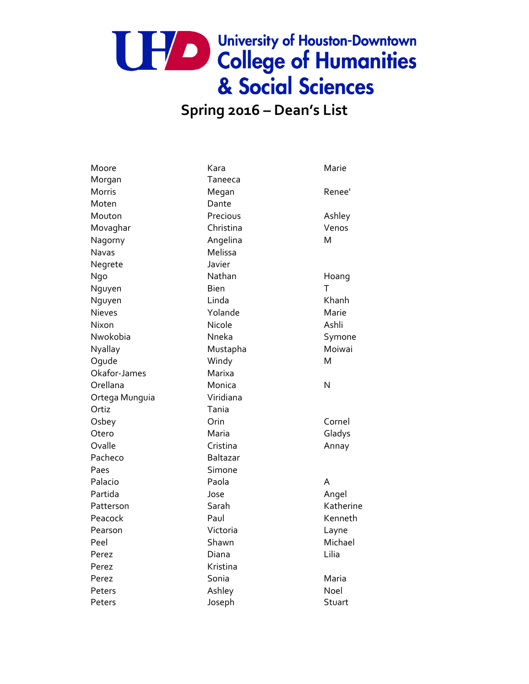### **Spring 2016 – Dean's List**

| Moore          | Kara            | Marie     |
|----------------|-----------------|-----------|
| Morgan         | Taneeca         |           |
| <b>Morris</b>  | Megan           | Renee'    |
| Moten          | Dante           |           |
| Mouton         | Precious        | Ashley    |
| Movaghar       | Christina       | Venos     |
| Nagorny        | Angelina        | M         |
| Navas          | Melissa         |           |
| Negrete        | Javier          |           |
| Ngo            | Nathan          | Hoang     |
| Nguyen         | Bien            | T         |
| Nguyen         | Linda           | Khanh     |
| Nieves         | Yolande         | Marie     |
| Nixon          | Nicole          | Ashli     |
| Nwokobia       | Nneka           | Symone    |
| Nyallay        | Mustapha        | Moiwai    |
| Oqude          | Windy           | M         |
| Okafor-James   | Marixa          |           |
| Orellana       | Monica          | N         |
| Ortega Munguia | Viridiana       |           |
| Ortiz          | Tania           |           |
| Osbey          | Orin            | Cornel    |
| Otero          | Maria           | Gladys    |
| Ovalle         | Cristina        | Annay     |
| Pacheco        | <b>Baltazar</b> |           |
| Paes           | Simone          |           |
| Palacio        | Paola           | A         |
| Partida        | Jose            | Angel     |
| Patterson      | Sarah           | Katherine |
| Peacock        | Paul            | Kenneth   |
| Pearson        | Victoria        | Layne     |
| Peel           | Shawn           | Michael   |
| Perez          | Diana           | Lilia     |
| Perez          | Kristina        |           |
| Perez          | Sonia           | Maria     |
| Peters         | Ashley          | Noel      |
| Peters         | Joseph          | Stuart    |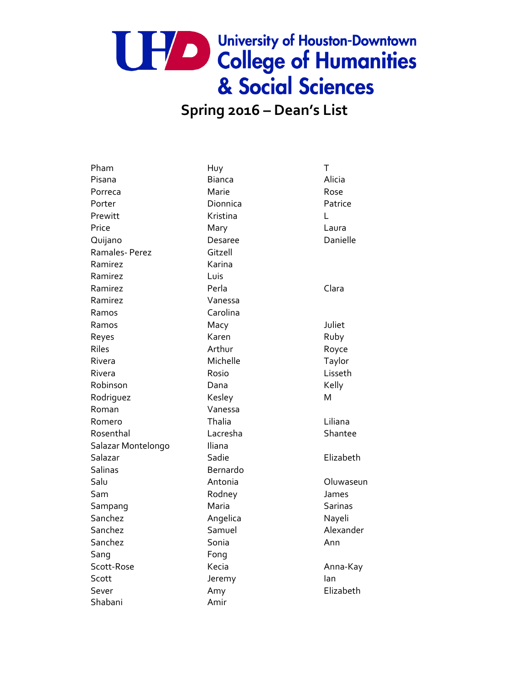### **Spring 2016 – Dean's List**

| Pham               | Huy           | T              |
|--------------------|---------------|----------------|
| Pisana             | <b>Bianca</b> | Alicia         |
| Porreca            | Marie         | Rose           |
| Porter             | Dionnica      | Patrice        |
| Prewitt            | Kristina      | L              |
| Price              | Mary          | Laura          |
| Quijano            | Desaree       | Danielle       |
| Ramales-Perez      | Gitzell       |                |
| Ramirez            | Karina        |                |
| Ramirez            | Luis          |                |
| Ramirez            | Perla         | Clara          |
| Ramirez            | Vanessa       |                |
| Ramos              | Carolina      |                |
| Ramos              | Macy          | Juliet         |
| Reyes              | Karen         | Ruby           |
| Riles              | Arthur        | Royce          |
| Rivera             | Michelle      | Taylor         |
| Rivera             | Rosio         | Lisseth        |
| Robinson           | Dana          | Kelly          |
| Rodriguez          | Kesley        | Μ              |
| Roman              | Vanessa       |                |
| Romero             | Thalia        | Liliana        |
| Rosenthal          | Lacresha      | Shantee        |
| Salazar Montelongo | Iliana        |                |
| Salazar            | Sadie         | Elizabeth      |
| Salinas            | Bernardo      |                |
| Salu               | Antonia       | Oluwaseun      |
| Sam                | Rodney        | James          |
| Sampang            | Maria         | <b>Sarinas</b> |
| Sanchez            | Angelica      | Nayeli         |
| Sanchez            | Samuel        | Alexander      |
| Sanchez            | Sonia         | Ann            |
| Sang               | Fong          |                |
| Scott-Rose         | Kecia         | Anna-Kay       |
| Scott              | Jeremy        | lan            |
| Sever              | Amy           | Elizabeth      |
| Shabani            | Amir          |                |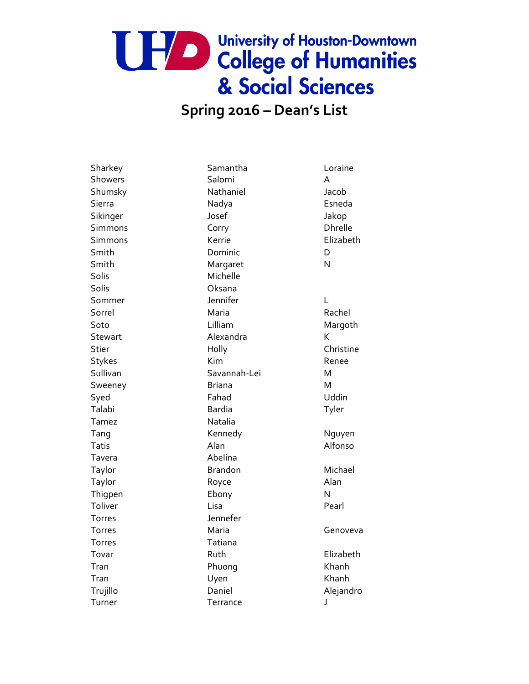## UPA De University of Houston-Downtown & Social Sciences

#### **Spring 2016 – Dean's List**

Solis Michelle Solis Oksana Tamez Natalia Tavera **Abelina** Torres Jennefer Torres Tatiana Turner **Terrance J** 

Sharkey Samantha Loraine Showers Salomi A Shumsky Nathaniel Jacob Sierra **Nadya** Nadya **Esneda** Sikinger Josef Jakop Simmons Corry Corry Dhrelle Simmons Kerrie Elizabeth Smith Dominic Dominic D Smith Margaret N Sommer **Sommer** Jennifer **L** Sorrel **Maria** Maria Rachel Soto **Lilliam** Lilliam Margoth Stewart **Alexandra** K Stier **Holly** Holly Christine Stykes **Kim Renee** Sullivan Savannah-Lei M Sweeney **Briana** Briana M Syed Fahad Uddin Talabi Bardia Tyler Tang Kennedy Nguyen Tatis **Alan** Alan Alfonso Taylor **Brandon** Brandon Michael Taylor **Royce** Royce **Alan** Thigpen Ebony Ebony Toliver **Lisa** Lisa **Pearl** Torres Maria Genoveva Tovar **Ruth** Ruth **Elizabeth** Tran **Phuong** Khanh Tran Uyen Khanh Trujillo Daniel Alejandro